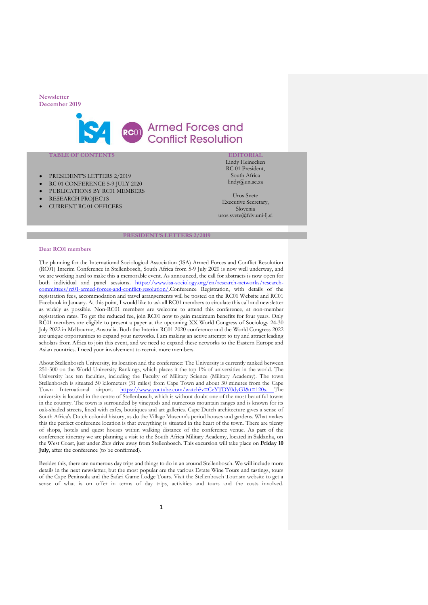

# RCOT Armed Forces and **Conflict Resolution**

# **TABLE OF CONTENTS**

- PRESIDENT'S LETTERS 2/2019
- RC 01 CONFERENCE 5-9 JULY 2020
- PUBLICATIONS BY RC01 MEMBERS
- RESEARCH PROJECTS
- CURRENT RC 01 OFFICERS

**EDITORIAL** Lindy Heinecken RC 01 President, South Africa lindy@un.ac.za

Uros Svete Executive Secretary, Slovenia uros.svete@fdv.uni-lj.si

#### **PRESIDENT'S LETTERS 2/2019**

## **Dear RC01 members**

The planning for the International Sociological Association (ISA) Armed Forces and Conflict Resolution (RC01) Interim Conference in Stellenbosch, South Africa from 5-9 July 2020 is now well underway, and we are working hard to make this a memorable event. As announced, the call for abstracts is now open for both individual and panel sessions. [https://www.isa-sociology.org/en/research-networks/research](https://www.isa-sociology.org/en/research-networks/research-committees/rc01-armed-forces-and-conflict-resolution/)[committees/rc01-armed-forces-and-conflict-resolution/.](https://www.isa-sociology.org/en/research-networks/research-committees/rc01-armed-forces-and-conflict-resolution/)Conference Registration, with details of the registration fees, accommodation and travel arrangements will be posted on the RC01 Website and RC01 Facebook in January. At this point, I would like to ask all RC01 members to circulate this call and newsletter as widely as possible. Non-RC01 members are welcome to attend this conference, at non-member registration rates. To get the reduced fee, join RC01 now to gain maximum benefits for four years. Only RC01 members are eligible to present a paper at the upcoming XX World Congress of Sociology 24-30 July 2022 in Melbourne, Australia. Both the Interim RC01 2020 conference and the World Congress 2022 are unique opportunities to expand your networks. I am making an active attempt to try and attract leading scholars from Africa to join this event, and we need to expand these networks to the Eastern Europe and Asian countries. I need your involvement to recruit more members.

About Stellenbosch University, its location and the conference: The University is currently ranked between 251-300 on the World University Rankings, which places it the top 1% of universities in the world. The University has ten faculties, including the Faculty of Military Science (Military Academy). The town Stellenbosch is situated 50 kilometers (31 miles) from Cape Town and about 30 minutes from the Cape Town International airport. [https://www.youtube.com/watch?v=CeYTDY0dyGI&t=120s.](https://www.youtube.com/watch?v=CeYTDY0dyGI&t=120s) The university is located in the centre of Stellenbosch, which is without doubt one of the most beautiful towns in the country. The town is surrounded by vineyards and numerous mountain ranges and is known for its oak-shaded streets, lined with cafes, boutiques and art galleries. Cape Dutch architecture gives a sense of South Africa's Dutch colonial history, as do the Village Museum's period houses and gardens. What makes this the perfect conference location is that everything is situated in the heart of the town. There are plenty of shops, hotels and quest houses within walking distance of the conference venue. As part of the conference itinerary we are planning a visit to the South Africa Military Academy, located in Saldanha, on the West Coast, just under 2hrs drive away from Stellenbosch. This excursion will take place on **Friday 10 July**, after the conference (to be confirmed).

Besides this, there are numerous day trips and things to do in an around Stellenbosch. We will include more details in the next newsletter, but the most popular are the various Estate Wine Tours and tastings, tours of the Cape Peninsula and the Safari Game Lodge Tours. Visit the Stellenbosch Tourism website to get a sense of what is on offer in terms of day trips, activities and tours and the costs involved.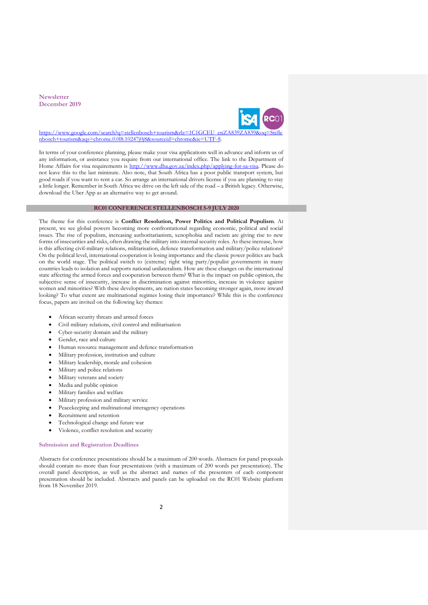

https://www.google.com/search?q=stellenbosch+tourism&rlz=1C1GCEU\_enZA83 [nbosch+tourism&aqs=chrome.0.0l8.10247j0j8&sourceid=chrome&ie=UTF-8.](https://www.google.com/search?q=stellenbosch+tourism&rlz=1C1GCEU_enZA839ZA839&oq=Stellenbosch+tourism&aqs=chrome.0.0l8.10247j0j8&sourceid=chrome&ie=UTF-8)

In terms of your conference planning, please make your visa applications well in advance and inform us of any information, or assistance you require from our international office. The link to the Department of Home Affairs for visa requirements is [http://www.dha.gov.za/index.php/applying-for-sa-visa.](http://www.dha.gov.za/index.php/applying-for-sa-visa) Please do not leave this to the last mininute. Also note, that South Africa has a poor public transport system, but good roads if you want to rent a car. So arrange an international drivers license if you are planning to stay a little longer. Remember in South Africa we drive on the left side of the road – a British legacy. Otherwise, download the Uber App as an alternative way to get around.

# **RC01 CONFERENCE STELLENBOSCH 5-9 JULY 2020**

The theme for this conference is **Conflict Resolution, Power Politics and Political Populism**. At present, we see global powers becoming more confrontational regarding economic, political and social issues. The rise of populism, increasing authoritarianism, xenophobia and racism are giving rise to new forms of insecurities and risks, often drawing the military into internal security roles. As these increase, how is this affecting civil-military relations, militarisation, defence transformation and military/police relations? On the political level, international cooperation is losing importance and the classic power politics are back on the world stage. The political switch to (extreme) right wing party/populist governments in many countries leads to isolation and supports national unilateralism. How are these changes on the international state affecting the armed forces and cooperation between them? What is the impact on public opinion, the subjective sense of insecurity, increase in discrimination against minorities, increase in violence against women and minorities? With these developments, are nation states becoming stronger again, more inward looking? To what extent are multinational regimes losing their importance? While this is the conference focus, papers are invited on the following key themes:

- African security threats and armed forces
- Civil military relations, civil control and militarisation
- Cyber-security domain and the military
- Gender, race and culture
- Human resource management and defence transformation
- Military profession, institution and culture
- Military leadership, morale and cohesion
- Military and police relations
- Military veterans and society
- Media and public opinion
- Military families and welfare
- Military profession and military service
- Peacekeeping and multinational interagency operations
- Recruitment and retention
- Technological change and future war
- Violence, conflict resolution and security

# **Submission and Registration Deadlines**

Abstracts for conference presentations should be a maximum of 200 words. Abstracts for panel proposals should contain no more than four presentations (with a maximum of 200 words per presentation). The overall panel description, as well as the abstract and names of the presenters of each component presentation should be included. Abstracts and panels can be uploaded on the RC01 Website platform from 18 November 2019.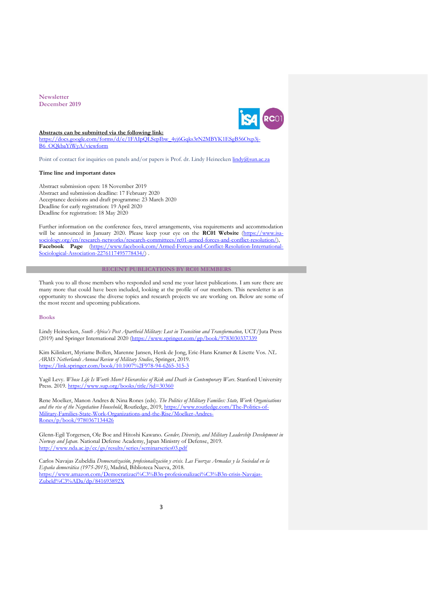

#### **Abstracts can be submitted via the following link:**

[https://docs.google.com/forms/d/e/1FAIpQLSepIbw\\_4yj6Gqks3rN2MBYK1ESgB56Oxp3j-](https://docs.google.com/forms/d/e/1FAIpQLSepIbw_4yj6Gqks3rN2MBYK1ESgB56Oxp3j-B6_OQkbaYiWyA/viewform)[B6\\_OQkbaYiWyA/viewform](https://docs.google.com/forms/d/e/1FAIpQLSepIbw_4yj6Gqks3rN2MBYK1ESgB56Oxp3j-B6_OQkbaYiWyA/viewform)

Point of contact for inquiries on panels and/or papers is Prof. dr. Lindy Heinecken [lindy@sun.ac.za](mailto:lindy@sun.ac.za)

## **Time line and important dates**

Abstract submission open: 18 November 2019 Abstract and submission deadline: 17 February 2020 Acceptance decisions and draft programme: 23 March 2020 Deadline for early registration: 19 April 2020 Deadline for registration: 18 May 2020

Further information on the conference fees, travel arrangements, visa requirements and accommodation will be announced in January 2020. Please keep your eye on the **RC01 Website** (https://www. [sociology.org/en/research-networks/research-committees/rc01-armed-forces-and-conflict-resolution/\)](https://www.isa-sociology.org/en/research-networks/research-committees/rc01-armed-forces-and-conflict-resolution/), **Facebook Page** [\(https://www.facebook.com/Armed-Forces-and-Conflict-Resolution-International-](https://www.facebook.com/Armed-Forces-and-Conflict-Resolution-International-Sociological-Association-2276117495778434/)[Sociological-Association-2276117495778434/\)](https://www.facebook.com/Armed-Forces-and-Conflict-Resolution-International-Sociological-Association-2276117495778434/).

# **RECENT PUBLICATIONS BY RC01 MEMBERS**

Thank you to all those members who responded and send me your latest publications. I am sure there are many more that could have been included, looking at the profile of our members. This newsletter is an opportunity to showcase the diverse topics and research projects we are working on. Below are some of the most recent and upcoming publications.

# **Books**

Lindy Heinecken, *South Africa's Post Apartheid Military: Lost in Transition and Transformation,* UCT/Juta Press (2019) and Springer International 2020 [\(https://www.springer.com/gp/book/9783030337339](https://www.springer.com/gp/book/9783030337339)

Kim Kilinkert, Myriame Bollen, Marenne Jansen, Henk de Jong, Eric-Hans Kramer & Lisette Vos. *NL ARMS Netherlands Annual Review of Military Studies*, Springer, 2019. <https://link.springer.com/book/10.1007%2F978-94-6265-315-3>

Yagil Levy. *Whose Life Is Worth More? Hierarchies of Risk and Death in Contemporary Wars*. Stanford University Press. 2019.<https://www.sup.org/books/title/?id=30360>

Rene Moelker, Manon Andres & Nina Rones (eds). *The Politics of Military Families: State, Work Organisations and the rise of the Negotiation Household*, Routledge, 2019, [https://www.routledge.com/The-Politics-of-](https://www.routledge.com/The-Politics-of-Military-Families-State-Work-Organizations-and-the-Rise/Moelker-Andres-Rones/p/book/9780367134426)[Military-Families-State-Work-Organizations-and-the-Rise/Moelker-Andres-](https://www.routledge.com/The-Politics-of-Military-Families-State-Work-Organizations-and-the-Rise/Moelker-Andres-Rones/p/book/9780367134426)[Rones/p/book/9780367134426](https://www.routledge.com/The-Politics-of-Military-Families-State-Work-Organizations-and-the-Rise/Moelker-Andres-Rones/p/book/9780367134426)

Glenn-Egil Torgersen, Ole Boe and Hitoshi Kawano*. Gender, Diversity, and Military Leadership Development in Norway and Japan.* National Defense Academy, Japan Ministry of Defense, 2019. <http://www.nda.ac.jp/cc/gs/results/series/seminarseries03.pdf>

Carlos Navajas Zubeldia *Democratización, profesionalización y crisis. Las Fuerzas Armadas y la Sociedad en la España democrática (1975-2015)*, Madrid, Biblioteca Nueva, 2018. [https://www.amazon.com/Democratizaci%C3%B3n-profesionalizaci%C3%B3n-crisis-Navajas-](https://www.amazon.com/Democratizaci%C3%B3n-profesionalizaci%C3%B3n-crisis-Navajas-Zubeld%C3%ADa/dp/841693892X)[Zubeld%C3%ADa/dp/841693892X](https://www.amazon.com/Democratizaci%C3%B3n-profesionalizaci%C3%B3n-crisis-Navajas-Zubeld%C3%ADa/dp/841693892X)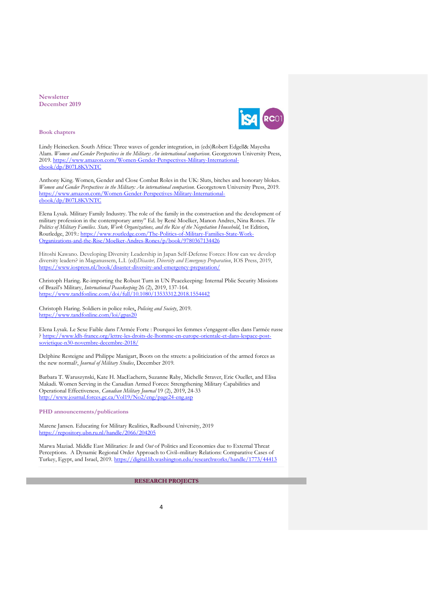

**Book chapters**

Lindy Heinecken. South Africa: Three waves of gender integration, in (eds)Robert Edgell& Mayesha Alam. *Women and Gender Perspectives in the Military: An international comparison*. Georgetown University Press, 2019. [https://www.amazon.com/Women-Gender-Perspectives-Military-International](https://www.amazon.com/Women-Gender-Perspectives-Military-International-ebook/dp/B07L8KVNTC)[ebook/dp/B07L8KVNTC](https://www.amazon.com/Women-Gender-Perspectives-Military-International-ebook/dp/B07L8KVNTC)

Anthony King. Women, Gender and Close Combat Roles in the UK: Sluts, bitches and honorary blokes. *Women and Gender Perspectives in the Military: An international comparison*. Georgetown University Press, 2019. [https://www.amazon.com/Women-Gender-Perspectives-Military-International](https://www.amazon.com/Women-Gender-Perspectives-Military-International-ebook/dp/B07L8KVNTC)[ebook/dp/B07L8KVNTC](https://www.amazon.com/Women-Gender-Perspectives-Military-International-ebook/dp/B07L8KVNTC)

Elena Lysak. Military Family Industry. The role of the family in the construction and the development of military profession in the contemporary army" Ed. by René Moelker, Manon Andres, Nina Rones. *The Politics of Military Families. State, Work Organizations, and the Rise of the Negotiation Household*, 1st Edition, Routledge, 2019.: [https://www.routledge.com/The-Politics-of-Military-Families-State-Work-](https://www.routledge.com/The-Politics-of-Military-Families-State-Work-Organizations-and-the-Rise/Moelker-Andres-Rones/p/book/9780367134426)[Organizations-and-the-Rise/Moelker-Andres-Rones/p/book/9780367134426](https://www.routledge.com/The-Politics-of-Military-Families-State-Work-Organizations-and-the-Rise/Moelker-Andres-Rones/p/book/9780367134426)

Hitoshi Kawano. Developing Diversity Leadership in Japan Self-Defense Forces: How can we develop diversity leaders? in Magunussem, L.I. (ed)*Disaster, Diversity and Emergency Preparation*, IOS Press, 2019, <https://www.iospress.nl/book/disaster-diversity-and-emergency-preparation/>

Christoph Haring. Re-importing the Robust Turn in UN Peacekeeping: Internal Pblic Security Missions of Brazil's Military, *International Peacekeeping* 26 (2), 2019, 137-164. <https://www.tandfonline.com/doi/full/10.1080/13533312.2018.1554442>

Christoph Haring. Soldiers [in police roles,](https://www.tandfonline.com/doi/abs/10.1080/10439463.2019.1650745) *Policing and Society*, 2019. <https://www.tandfonline.com/loi/gpas20>

Elena Lysak. Le Sexe Faible dans l'Armée Forte : Pourquoi les femmes s'engagent-elles dans l'armée russe ? [https://www.ldh-france.org/lettre-les-droits-de-lhomme-en-europe-orientale-et-dans-lespace-post](https://www.ldh-france.org/lettre-les-droits-de-lhomme-en-europe-orientale-et-dans-lespace-post-sovietique-n30-novembre-decembre-2018/)[sovietique-n30-novembre-decembre-2018/](https://www.ldh-france.org/lettre-les-droits-de-lhomme-en-europe-orientale-et-dans-lespace-post-sovietique-n30-novembre-decembre-2018/)

Delphine Resteigne and Philippe Manigart, Boots on the streets: a politicization of the armed forces as the new normal?, *Journal of Military Studies*, December 2019.

Barbara T. Waruszynski, Kate H. MacEachern, Suzanne Raby, Michelle Straver, Eric Ouellet, and Elisa Makadi. Women Serving in the Canadian Armed Forces: Strengthening Military Capabilities and Operational Effectiveness, *Canadian Military Journal* 19 (2), 2019, 24-33 <http://www.journal.forces.gc.ca/Vol19/No2/eng/page24-eng.asp>

**PHD announcements/publications**

Marene Jansen. Educating for Military Realities, Radbound University, 2019 <https://repository.ubn.ru.nl/handle/2066/204205>

Marwa Maziad. Middle East Militaries: *In* and *Out* of Politics and Economies due to External Threat Perceptions. A Dynamic Regional Order Approach to Civil–military Relations: Comparative Cases of Turkey, Egypt, and Israel, 2019.<https://digital.lib.washington.edu/researchworks/handle/1773/44413>

**RESEARCH PROJECTS**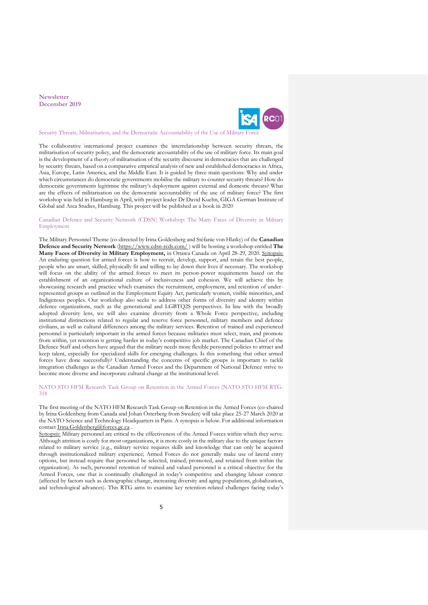

Security Threats, Militarisation, and the Democratic Accountability of the Use of Militar

The collaborative international project examines the interrelationship between security threats, the militarisation of security policy, and the democratic accountability of the use of military force. Its main goal is the development of a theory of militarisation of the security discourse in democracies that are challenged by security threats, based on a comparative empirical analysis of new and established democracies in Africa, Asia, Europe, Latin America, and the Middle East. It is guided by three main questions: Why and under which circumstances do democratic governments mobilise the military to counter security threats? How do democratic governments legitimise the military's deployment against external and domestic threats? What are the effects of militarisation on the democratic accountability of the use of military force? The first workshop was held in Hamburg in April, with project leader Dr David Kuehn, GIGA German Institute of Global and Area Studies, Hamburg. This project will be published as a book in 2020

# Canadian Defence and Security Network (CDSN) Workshop: The Many Faces of Diversity in Military Employment

The Military Personnel Theme (co-directed by Irina Goldenberg and Stéfanie von Hlatky) of the **Canadian Defence and Security Network** [\(https://www.cdsn-rcds.com/](https://www.cdsn-rcds.com/) ) will be hosting a workshop entitled **The Many Faces of Diversity in Military Employment,** in Ottawa Canada on April 28-29, 2020. Synopsis: An enduring question for armed forces is how to recruit, develop, support, and retain the best people, people who are smart, skilled, physically fit and willing to lay down their lives if necessary. The workshop will focus on the ability of the armed forces to meet its person-power requirements based on the establishment of an organizational culture of inclusiveness and cohesion. We will achieve this by showcasing research and practice which examines the recruitment, employment, and retention of underrepresented groups as outlined in the Employment Equity Act, particularly women, visible minorities, and Indigenous peoples. Our workshop also seeks to address other forms of diversity and identity within defence organizations, such as the generational and LGBTQ2S perspectives. In line with the broadly adopted diversity lens, we will also examine diversity from a Whole Force perspective, including institutional distinctions related to regular and reserve force personnel, military members and defence civilians, as well as cultural differences among the military services. Retention of trained and experienced personnel is particularly important in the armed forces because militaries must select, train, and promote from within, yet retention is getting harder in today's competitive job market. The Canadian Chief of the Defence Staff and others have argued that the military needs more flexible personnel policies to attract and keep talent, especially for specialized skills for emerging challenges. Is this something that other armed forces have done successfully? Understanding the concerns of specific groups is important to tackle integration challenges as the Canadian Armed Forces and the Department of National Defence strive to become more diverse and incorporate cultural change at the institutional level.

NATO STO HFM Research Task Group on Retention in the Armed Forces (NATO STO HFM RTG-318

The first meeting of the NATO HFM Research Task Group on Retention in the Armed Forces (co-chaired by Irina Goldenberg from Canada and Johan Österberg from Sweden) will take place 25-27 March 2020 at the NATO Science and Technology Headquarters in Paris. A synopsis is below. For additional information contact [Irina.Goldenberg@forces.gc.ca](mailto:Irina.Goldenberg@forces.gc.ca) .

Synopsis: Military personnel are critical to the effectiveness of the Armed Forces within which they serve. Although attrition is costly for most organizations, it is more costly in the military due to the unique factors related to military service (e.g., military service requires skills and knowledge that can only be acquired through institutionalized military experience; Armed Forces do not generally make use of lateral entry options, but instead require that personnel be selected, trained, promoted, and retained from within the organization). As such, personnel retention of trained and valued personnel is a critical objective for the Armed Forces, one that is continually challenged in today's competitive and changing labour context (affected by factors such as demographic change, increasing diversity and aging populations, globalization, and technological advances). This RTG aims to examine key retention-related challenges facing today's